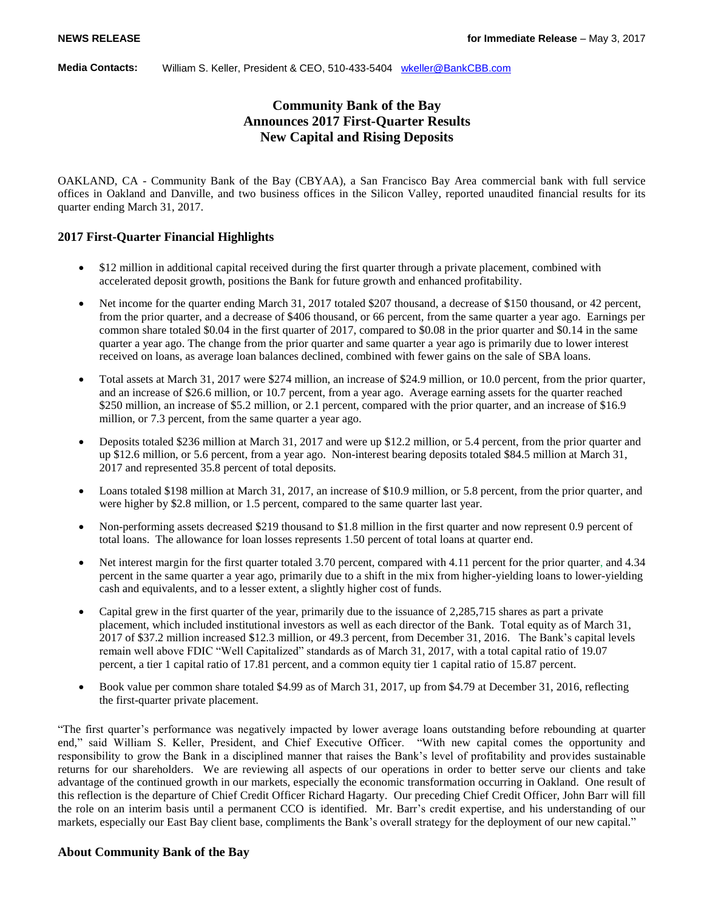#### **Media Contacts:** William S. Keller, President & CEO, 510-433-5404 [wkeller@BankCBB.com](mailto:wkeller@BankCBB.com)

# **Community Bank of the Bay Announces 2017 First-Quarter Results New Capital and Rising Deposits**

OAKLAND, CA - Community Bank of the Bay (CBYAA), a San Francisco Bay Area commercial bank with full service offices in Oakland and Danville, and two business offices in the Silicon Valley, reported unaudited financial results for its quarter ending March 31, 2017.

## **2017 First-Quarter Financial Highlights**

- \$12 million in additional capital received during the first quarter through a private placement, combined with accelerated deposit growth, positions the Bank for future growth and enhanced profitability.
- Net income for the quarter ending March 31, 2017 totaled \$207 thousand, a decrease of \$150 thousand, or 42 percent, from the prior quarter, and a decrease of \$406 thousand, or 66 percent, from the same quarter a year ago. Earnings per common share totaled \$0.04 in the first quarter of 2017, compared to \$0.08 in the prior quarter and \$0.14 in the same quarter a year ago. The change from the prior quarter and same quarter a year ago is primarily due to lower interest received on loans, as average loan balances declined, combined with fewer gains on the sale of SBA loans.
- Total assets at March 31, 2017 were \$274 million, an increase of \$24.9 million, or 10.0 percent, from the prior quarter, and an increase of \$26.6 million, or 10.7 percent, from a year ago. Average earning assets for the quarter reached \$250 million, an increase of \$5.2 million, or 2.1 percent, compared with the prior quarter, and an increase of \$16.9 million, or 7.3 percent, from the same quarter a year ago.
- Deposits totaled \$236 million at March 31, 2017 and were up \$12.2 million, or 5.4 percent, from the prior quarter and up \$12.6 million, or 5.6 percent, from a year ago. Non-interest bearing deposits totaled \$84.5 million at March 31, 2017 and represented 35.8 percent of total deposits.
- Loans totaled \$198 million at March 31, 2017, an increase of \$10.9 million, or 5.8 percent, from the prior quarter, and were higher by \$2.8 million, or 1.5 percent, compared to the same quarter last year.
- Non-performing assets decreased \$219 thousand to \$1.8 million in the first quarter and now represent 0.9 percent of total loans. The allowance for loan losses represents 1.50 percent of total loans at quarter end.
- Net interest margin for the first quarter totaled 3.70 percent, compared with 4.11 percent for the prior quarter, and 4.34 percent in the same quarter a year ago, primarily due to a shift in the mix from higher-yielding loans to lower-yielding cash and equivalents, and to a lesser extent, a slightly higher cost of funds.
- Capital grew in the first quarter of the year, primarily due to the issuance of 2,285,715 shares as part a private placement, which included institutional investors as well as each director of the Bank. Total equity as of March 31, 2017 of \$37.2 million increased \$12.3 million, or 49.3 percent, from December 31, 2016. The Bank's capital levels remain well above FDIC "Well Capitalized" standards as of March 31, 2017, with a total capital ratio of 19.07 percent, a tier 1 capital ratio of 17.81 percent, and a common equity tier 1 capital ratio of 15.87 percent.
- Book value per common share totaled \$4.99 as of March 31, 2017, up from \$4.79 at December 31, 2016, reflecting the first-quarter private placement.

"The first quarter's performance was negatively impacted by lower average loans outstanding before rebounding at quarter end," said William S. Keller, President, and Chief Executive Officer. "With new capital comes the opportunity and responsibility to grow the Bank in a disciplined manner that raises the Bank's level of profitability and provides sustainable returns for our shareholders. We are reviewing all aspects of our operations in order to better serve our clients and take advantage of the continued growth in our markets, especially the economic transformation occurring in Oakland. One result of this reflection is the departure of Chief Credit Officer Richard Hagarty. Our preceding Chief Credit Officer, John Barr will fill the role on an interim basis until a permanent CCO is identified. Mr. Barr's credit expertise, and his understanding of our markets, especially our East Bay client base, compliments the Bank's overall strategy for the deployment of our new capital."

## **About Community Bank of the Bay**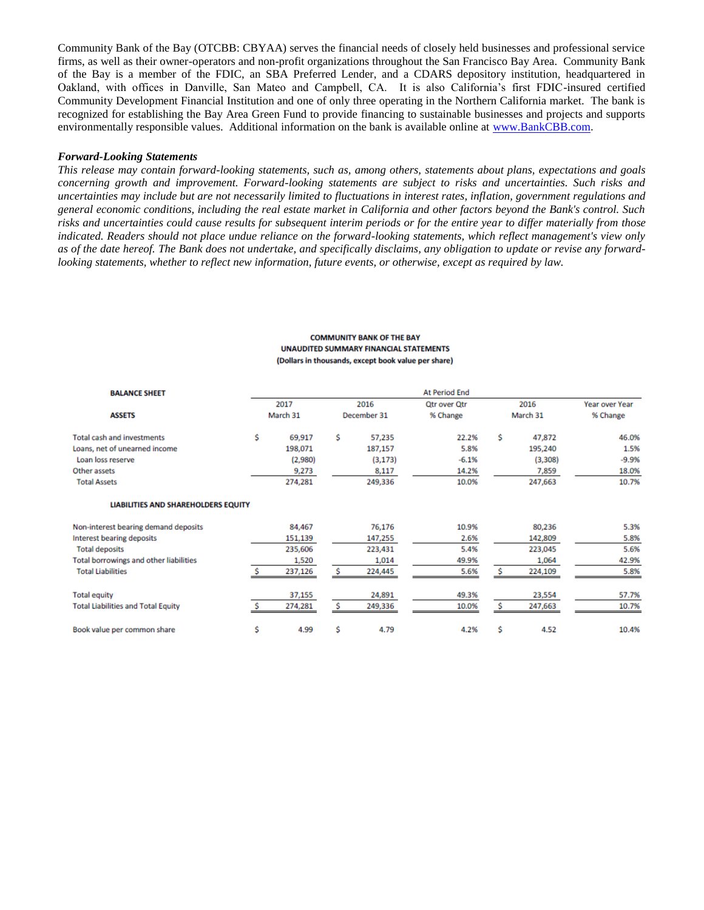Community Bank of the Bay (OTCBB: CBYAA) serves the financial needs of closely held businesses and professional service firms, as well as their owner-operators and non-profit organizations throughout the San Francisco Bay Area. Community Bank of the Bay is a member of the FDIC, an SBA Preferred Lender, and a CDARS depository institution, headquartered in Oakland, with offices in Danville, San Mateo and Campbell, CA. It is also California's first FDIC-insured certified Community Development Financial Institution and one of only three operating in the Northern California market. The bank is recognized for establishing the Bay Area Green Fund to provide financing to sustainable businesses and projects and supports environmentally responsible values. Additional information on the bank is available online at [www.BankCBB.com](http://www.bankcbb.com/).

### *Forward-Looking Statements*

*This release may contain forward-looking statements, such as, among others, statements about plans, expectations and goals concerning growth and improvement. Forward-looking statements are subject to risks and uncertainties. Such risks and uncertainties may include but are not necessarily limited to fluctuations in interest rates, inflation, government regulations and general economic conditions, including the real estate market in California and other factors beyond the Bank's control. Such risks and uncertainties could cause results for subsequent interim periods or for the entire year to differ materially from those indicated. Readers should not place undue reliance on the forward-looking statements, which reflect management's view only as of the date hereof. The Bank does not undertake, and specifically disclaims, any obligation to update or revise any forwardlooking statements, whether to reflect new information, future events, or otherwise, except as required by law.*

| <b>BALANCE SHEET</b>                      |                  | <b>At Period End</b> |                     |          |                                 |                  |         |                            |  |  |
|-------------------------------------------|------------------|----------------------|---------------------|----------|---------------------------------|------------------|---------|----------------------------|--|--|
|                                           | 2017<br>March 31 |                      | 2016<br>December 31 |          | <b>Qtr over Qtr</b><br>% Change | 2016<br>March 31 |         | Year over Year<br>% Change |  |  |
| <b>ASSETS</b>                             |                  |                      |                     |          |                                 |                  |         |                            |  |  |
| <b>Total cash and investments</b>         | \$               | 69,917               | Ś.                  | 57,235   | 22.2%                           | \$               | 47,872  | 46.0%                      |  |  |
| Loans, net of unearned income             |                  | 198,071              |                     | 187,157  | 5.8%                            |                  | 195,240 | 1.5%                       |  |  |
| Loan loss reserve                         |                  | (2,980)              |                     | (3, 173) | $-6.1%$                         |                  | (3,308) | $-9.9%$                    |  |  |
| Other assets                              |                  | 9,273                |                     | 8,117    | 14.2%                           |                  | 7,859   | 18.0%                      |  |  |
| <b>Total Assets</b>                       |                  | 274,281              |                     | 249,336  | 10.0%                           |                  | 247,663 | 10.7%                      |  |  |
| LIABILITIES AND SHAREHOLDERS EQUITY       |                  |                      |                     |          |                                 |                  |         |                            |  |  |
| Non-interest bearing demand deposits      |                  | 84,467               |                     | 76,176   | 10.9%                           |                  | 80,236  | 5.3%                       |  |  |
| Interest bearing deposits                 |                  | 151,139              |                     | 147,255  | 2.6%                            |                  | 142,809 | 5.8%                       |  |  |
| <b>Total deposits</b>                     |                  | 235,606              |                     | 223,431  | 5.4%                            |                  | 223,045 | 5.6%                       |  |  |
| Total borrowings and other liabilities    |                  | 1,520                |                     | 1,014    | 49.9%                           |                  | 1,064   | 42.9%                      |  |  |
| <b>Total Liabilities</b>                  |                  | 237,126              |                     | 224,445  | 5.6%                            |                  | 224,109 | 5.8%                       |  |  |
| <b>Total equity</b>                       |                  | 37,155               |                     | 24,891   | 49.3%                           |                  | 23,554  | 57.7%                      |  |  |
| <b>Total Liabilities and Total Equity</b> |                  | 274,281              | s                   | 249,336  | 10.0%                           | Ś.               | 247,663 | 10.7%                      |  |  |
| Book value per common share               | \$               | 4.99                 | Ś                   | 4.79     | 4.2%                            | Ś                | 4.52    | 10.4%                      |  |  |

#### **COMMUNITY BANK OF THE BAY UNAUDITED SUMMARY FINANCIAL STATEMENTS** (Dollars in thousands, except book value per share)